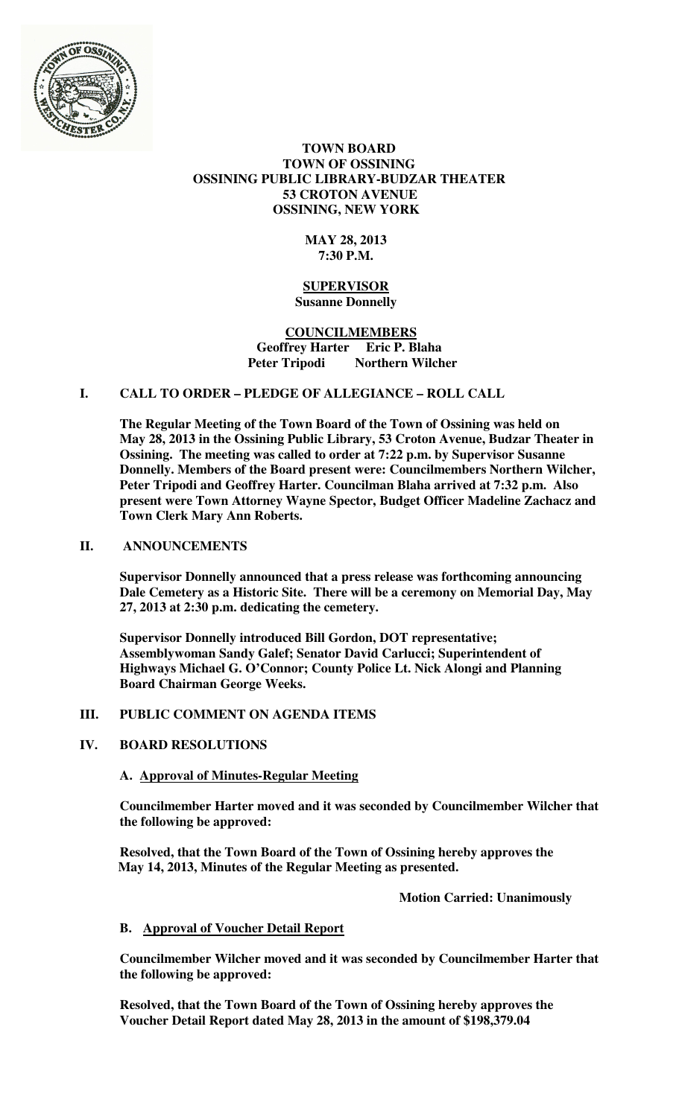

# **TOWN BOARD TOWN OF OSSINING OSSINING PUBLIC LIBRARY-BUDZAR THEATER 53 CROTON AVENUE OSSINING, NEW YORK**

# **MAY 28, 2013 7:30 P.M.**

#### **SUPERVISOR Susanne Donnelly**

#### **COUNCILMEMBERS Geoffrey Harter Eric P. Blaha Peter Tripodi Northern Wilcher**

# **I. CALL TO ORDER – PLEDGE OF ALLEGIANCE – ROLL CALL**

**The Regular Meeting of the Town Board of the Town of Ossining was held on May 28, 2013 in the Ossining Public Library, 53 Croton Avenue, Budzar Theater in Ossining. The meeting was called to order at 7:22 p.m. by Supervisor Susanne Donnelly. Members of the Board present were: Councilmembers Northern Wilcher, Peter Tripodi and Geoffrey Harter. Councilman Blaha arrived at 7:32 p.m. Also present were Town Attorney Wayne Spector, Budget Officer Madeline Zachacz and Town Clerk Mary Ann Roberts.** 

# **II. ANNOUNCEMENTS**

**Supervisor Donnelly announced that a press release was forthcoming announcing Dale Cemetery as a Historic Site. There will be a ceremony on Memorial Day, May 27, 2013 at 2:30 p.m. dedicating the cemetery.** 

**Supervisor Donnelly introduced Bill Gordon, DOT representative; Assemblywoman Sandy Galef; Senator David Carlucci; Superintendent of Highways Michael G. O'Connor; County Police Lt. Nick Alongi and Planning Board Chairman George Weeks.** 

# **III. PUBLIC COMMENT ON AGENDA ITEMS**

# **IV. BOARD RESOLUTIONS**

# **A. Approval of Minutes-Regular Meeting**

**Councilmember Harter moved and it was seconded by Councilmember Wilcher that the following be approved:** 

**Resolved, that the Town Board of the Town of Ossining hereby approves the May 14, 2013, Minutes of the Regular Meeting as presented.** 

 **Motion Carried: Unanimously** 

# **B. Approval of Voucher Detail Report**

**Councilmember Wilcher moved and it was seconded by Councilmember Harter that the following be approved:** 

**Resolved, that the Town Board of the Town of Ossining hereby approves the Voucher Detail Report dated May 28, 2013 in the amount of \$198,379.04**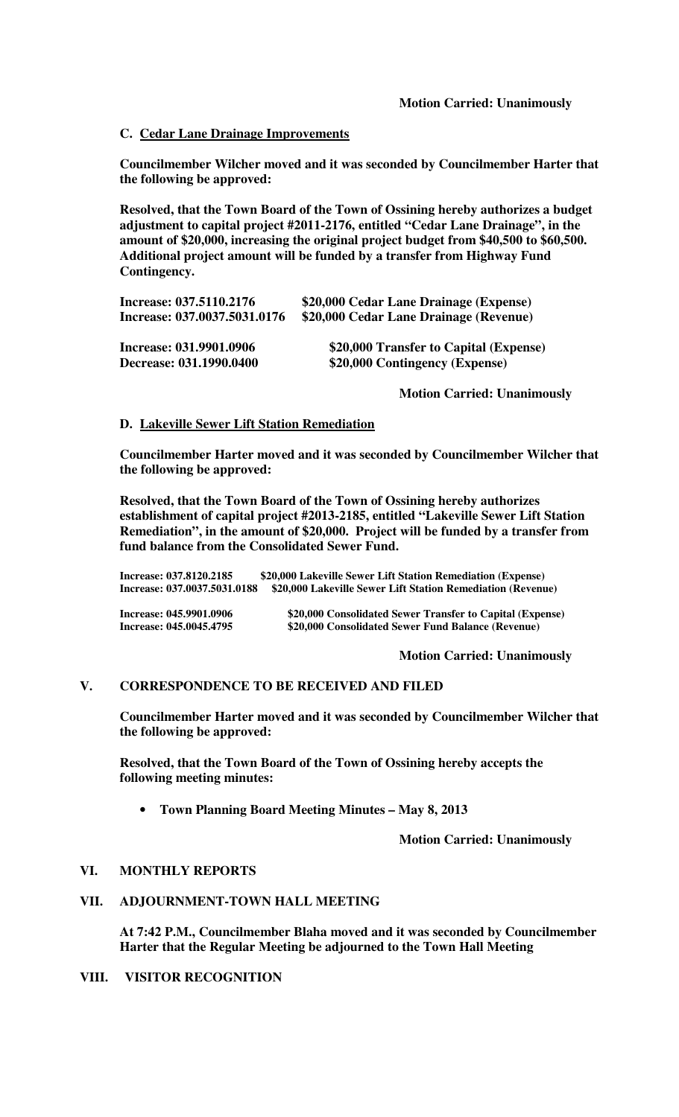#### **C. Cedar Lane Drainage Improvements**

**Councilmember Wilcher moved and it was seconded by Councilmember Harter that the following be approved:** 

**Resolved, that the Town Board of the Town of Ossining hereby authorizes a budget adjustment to capital project #2011-2176, entitled "Cedar Lane Drainage", in the amount of \$20,000, increasing the original project budget from \$40,500 to \$60,500. Additional project amount will be funded by a transfer from Highway Fund Contingency.** 

| Increase: 037.5110.2176      | \$20,000 Cedar Lane Drainage (Expense) |
|------------------------------|----------------------------------------|
| Increase: 037.0037.5031.0176 | \$20,000 Cedar Lane Drainage (Revenue) |
| Increase: 031.9901.0906      | \$20,000 Transfer to Capital (Expense) |
| Decrease: 031.1990.0400      | \$20,000 Contingency (Expense)         |

 **Motion Carried: Unanimously** 

#### **D. Lakeville Sewer Lift Station Remediation**

**Councilmember Harter moved and it was seconded by Councilmember Wilcher that the following be approved:** 

**Resolved, that the Town Board of the Town of Ossining hereby authorizes establishment of capital project #2013-2185, entitled "Lakeville Sewer Lift Station Remediation", in the amount of \$20,000. Project will be funded by a transfer from fund balance from the Consolidated Sewer Fund.** 

**Increase: 037.8120.2185 \$20,000 Lakeville Sewer Lift Station Remediation (Expense) Increase: 037.0037.5031.0188 \$20,000 Lakeville Sewer Lift Station Remediation (Revenue)** 

**Increase: 045.9901.0906 \$20,000 Consolidated Sewer Transfer to Capital (Expense) Increase: 045.0045.4795 \$20,000 Consolidated Sewer Fund Balance (Revenue)**

**Motion Carried: Unanimously**

#### **V. CORRESPONDENCE TO BE RECEIVED AND FILED**

**Councilmember Harter moved and it was seconded by Councilmember Wilcher that the following be approved:** 

**Resolved, that the Town Board of the Town of Ossining hereby accepts the following meeting minutes:** 

• **Town Planning Board Meeting Minutes – May 8, 2013** 

**Motion Carried: Unanimously** 

#### **VI. MONTHLY REPORTS**

#### **VII. ADJOURNMENT-TOWN HALL MEETING**

**At 7:42 P.M., Councilmember Blaha moved and it was seconded by Councilmember Harter that the Regular Meeting be adjourned to the Town Hall Meeting** 

#### **VIII. VISITOR RECOGNITION**